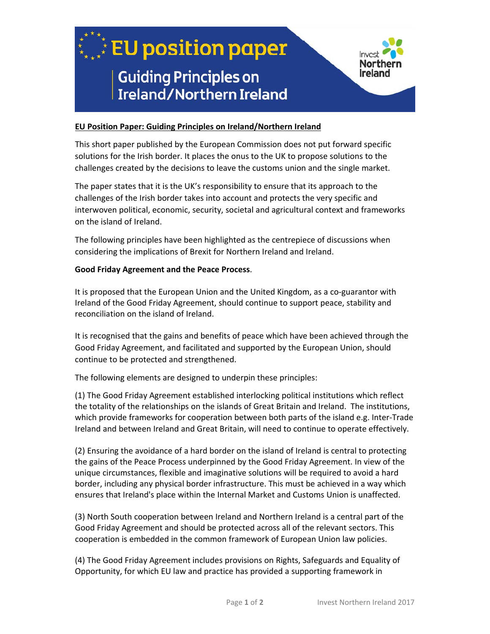

## **EU Position Paper: Guiding Principles on Ireland/Northern Ireland**

This short paper published by the European Commission does not put forward specific solutions for the Irish border. It places the onus to the UK to propose solutions to the challenges created by the decisions to leave the customs union and the single market.

The paper states that it is the UK's responsibility to ensure that its approach to the challenges of the Irish border takes into account and protects the very specific and interwoven political, economic, security, societal and agricultural context and frameworks on the island of Ireland.

The following principles have been highlighted as the centrepiece of discussions when considering the implications of Brexit for Northern Ireland and Ireland.

## **Good Friday Agreement and the Peace Process**.

It is proposed that the European Union and the United Kingdom, as a co-guarantor with Ireland of the Good Friday Agreement, should continue to support peace, stability and reconciliation on the island of Ireland.

It is recognised that the gains and benefits of peace which have been achieved through the Good Friday Agreement, and facilitated and supported by the European Union, should continue to be protected and strengthened.

The following elements are designed to underpin these principles:

(1) The Good Friday Agreement established interlocking political institutions which reflect the totality of the relationships on the islands of Great Britain and Ireland. The institutions, which provide frameworks for cooperation between both parts of the island e.g. Inter-Trade Ireland and between Ireland and Great Britain, will need to continue to operate effectively.

(2) Ensuring the avoidance of a hard border on the island of Ireland is central to protecting the gains of the Peace Process underpinned by the Good Friday Agreement. In view of the unique circumstances, flexible and imaginative solutions will be required to avoid a hard border, including any physical border infrastructure. This must be achieved in a way which ensures that Ireland's place within the Internal Market and Customs Union is unaffected.

(3) North South cooperation between Ireland and Northern Ireland is a central part of the Good Friday Agreement and should be protected across all of the relevant sectors. This cooperation is embedded in the common framework of European Union law policies.

(4) The Good Friday Agreement includes provisions on Rights, Safeguards and Equality of Opportunity, for which EU law and practice has provided a supporting framework in